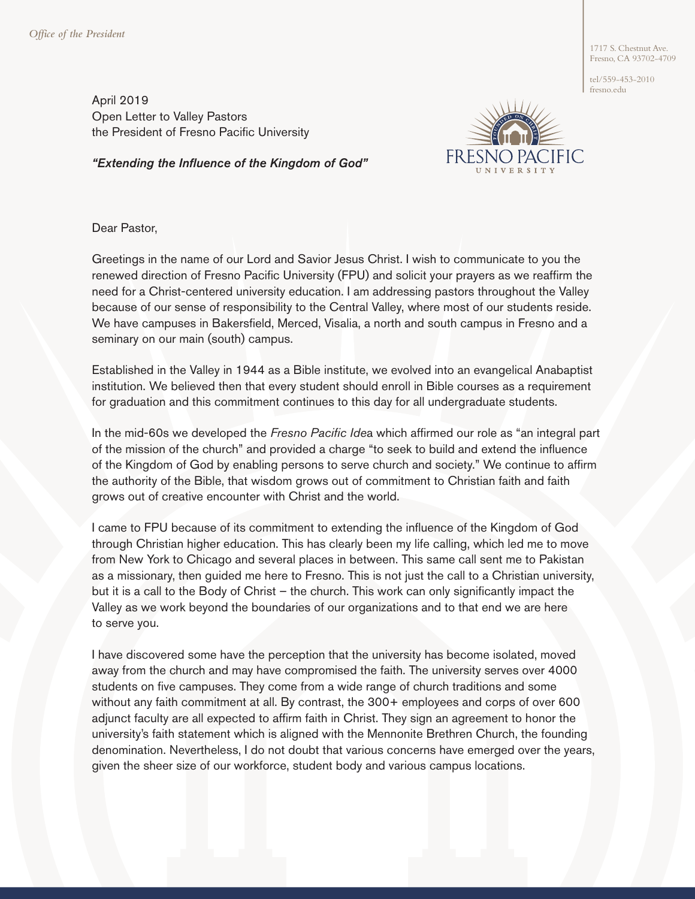April 2019 Open Letter to Valley Pastors the President of Fresno Pacific University



*"Extending the Influence of the Kingdom of God"*

Dear Pastor,

Greetings in the name of our Lord and Savior Jesus Christ. I wish to communicate to you the renewed direction of Fresno Pacific University (FPU) and solicit your prayers as we reaffirm the need for a Christ-centered university education. I am addressing pastors throughout the Valley because of our sense of responsibility to the Central Valley, where most of our students reside. We have campuses in Bakersfield, Merced, Visalia, a north and south campus in Fresno and a seminary on our main (south) campus.

Established in the Valley in 1944 as a Bible institute, we evolved into an evangelical Anabaptist institution. We believed then that every student should enroll in Bible courses as a requirement for graduation and this commitment continues to this day for all undergraduate students.

In the mid-60s we developed the *Fresno Pacific Ide*a which affirmed our role as "an integral part of the mission of the church" and provided a charge "to seek to build and extend the influence of the Kingdom of God by enabling persons to serve church and society." We continue to affirm the authority of the Bible, that wisdom grows out of commitment to Christian faith and faith grows out of creative encounter with Christ and the world.

I came to FPU because of its commitment to extending the influence of the Kingdom of God through Christian higher education. This has clearly been my life calling, which led me to move from New York to Chicago and several places in between. This same call sent me to Pakistan as a missionary, then guided me here to Fresno. This is not just the call to a Christian university, but it is a call to the Body of Christ – the church. This work can only significantly impact the Valley as we work beyond the boundaries of our organizations and to that end we are here to serve you.

I have discovered some have the perception that the university has become isolated, moved away from the church and may have compromised the faith. The university serves over 4000 students on five campuses. They come from a wide range of church traditions and some without any faith commitment at all. By contrast, the 300+ employees and corps of over 600 adjunct faculty are all expected to affirm faith in Christ. They sign an agreement to honor the university's faith statement which is aligned with the Mennonite Brethren Church, the founding denomination. Nevertheless, I do not doubt that various concerns have emerged over the years, given the sheer size of our workforce, student body and various campus locations.

1717 S. Chestnut Ave. Fresno, CA 93702-4709

tel/559-453-2010 fresno.edu